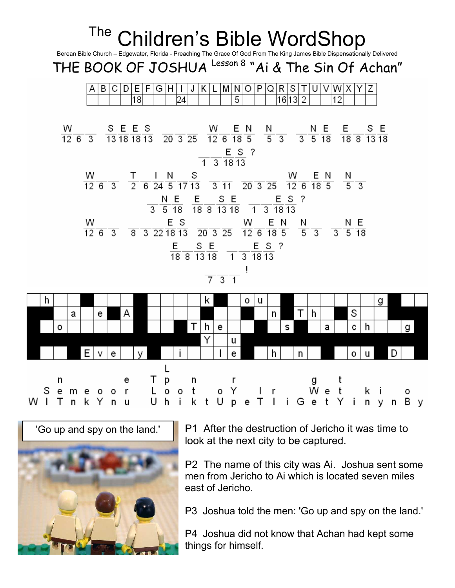





P1 After the destruction of Jericho it was time to look at the next city to be captured.

P2 The name of this city was Ai. Joshua sent some men from Jericho to Ai which is located seven miles east of Jericho.

P3 Joshua told the men: 'Go up and spy on the land.'

P4 Joshua did not know that Achan had kept some things for himself.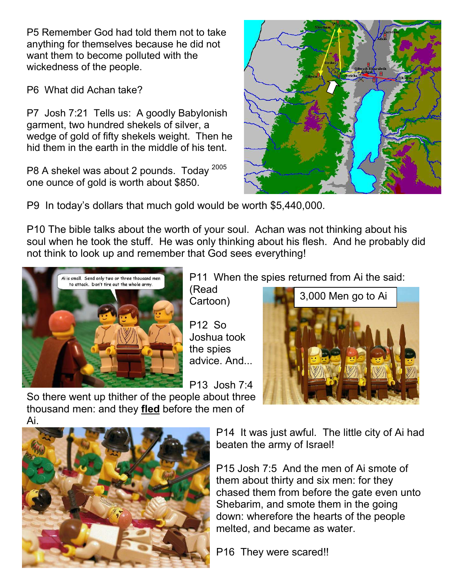P5 Remember God had told them not to take anything for themselves because he did not want them to become polluted with the wickedness of the people.

P6 What did Achan take?

P7 Josh 7:21 Tells us: A goodly Babylonish garment, two hundred shekels of silver, a wedge of gold of fifty shekels weight. Then he hid them in the earth in the middle of his tent.

P8 A shekel was about 2 pounds. Today  $^{2005}$ one ounce of gold is worth about \$850.



P9 In today's dollars that much gold would be worth \$5,440,000.

P10 The bible talks about the worth of your soul. Achan was not thinking about his soul when he took the stuff. He was only thinking about his flesh. And he probably did not think to look up and remember that God sees everything!



P11 When the spies returned from Ai the said:

(Read Cartoon)

P12 So Joshua took the spies advice. And...

P13 Josh 7:4



So there went up thither of the people about three thousand men: and they fled before the men of



P14 It was just awful. The little city of Ai had beaten the army of Israel!

P15 Josh 7:5 And the men of Ai smote of them about thirty and six men: for they chased them from before the gate even unto Shebarim, and smote them in the going down: wherefore the hearts of the people melted, and became as water.

P16 They were scared!!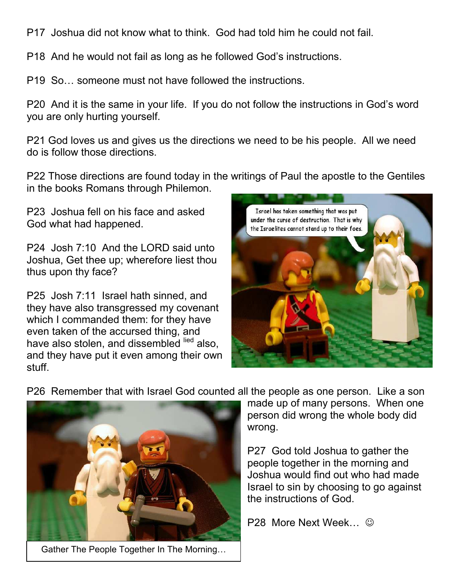P17 Joshua did not know what to think. God had told him he could not fail.

P18 And he would not fail as long as he followed God's instructions.

P19 So… someone must not have followed the instructions.

P20 And it is the same in your life. If you do not follow the instructions in God's word you are only hurting yourself.

P21 God loves us and gives us the directions we need to be his people. All we need do is follow those directions.

P22 Those directions are found today in the writings of Paul the apostle to the Gentiles in the books Romans through Philemon.

P23 Joshua fell on his face and asked God what had happened.

P24 Josh 7:10 And the LORD said unto Joshua, Get thee up; wherefore liest thou thus upon thy face?

P25 Josh 7:11 Israel hath sinned, and they have also transgressed my covenant which I commanded them: for they have even taken of the accursed thing, and have also stolen, and dissembled lied also, and they have put it even among their own stuff.



P26 Remember that with Israel God counted all the people as one person. Like a son



Gather The People Together In The Morning…

made up of many persons. When one person did wrong the whole body did wrong.

P27 God told Joshua to gather the people together in the morning and Joshua would find out who had made Israel to sin by choosing to go against the instructions of God.

P28 More Next Week…  $\odot$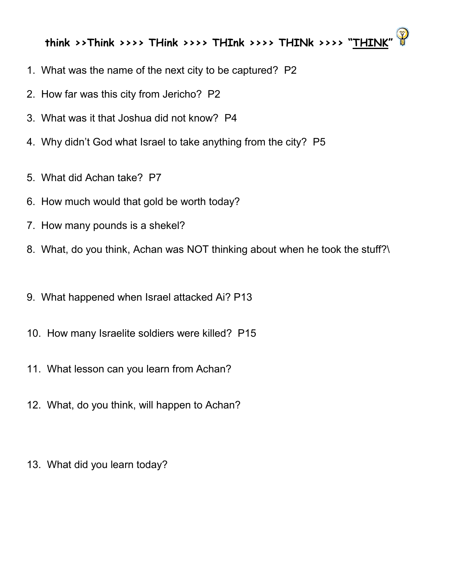## think >>Think >>>> THink >>>> THInk >>>> THINk >>>> "THINK"

- 1. What was the name of the next city to be captured? P2
- 2. How far was this city from Jericho? P2
- 3. What was it that Joshua did not know? P4
- 4. Why didn't God what Israel to take anything from the city? P5
- 5. What did Achan take? P7
- 6. How much would that gold be worth today?
- 7. How many pounds is a shekel?
- 8. What, do you think, Achan was NOT thinking about when he took the stuff?\
- 9. What happened when Israel attacked Ai? P13
- 10. How many Israelite soldiers were killed? P15
- 11. What lesson can you learn from Achan?
- 12. What, do you think, will happen to Achan?
- 13. What did you learn today?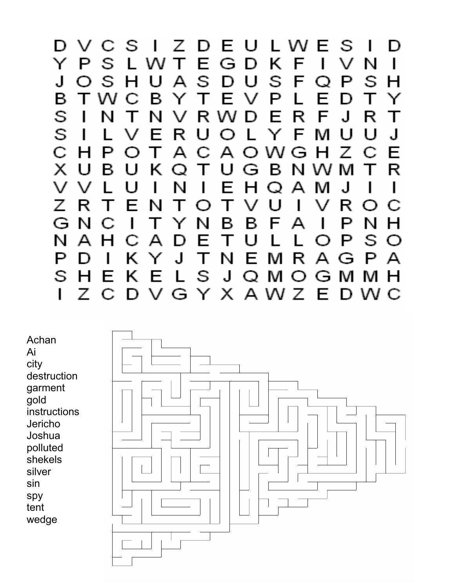

Achan Ai city destruction garment gold instructions Jericho Joshua polluted shekels silver sin spy tent wedge